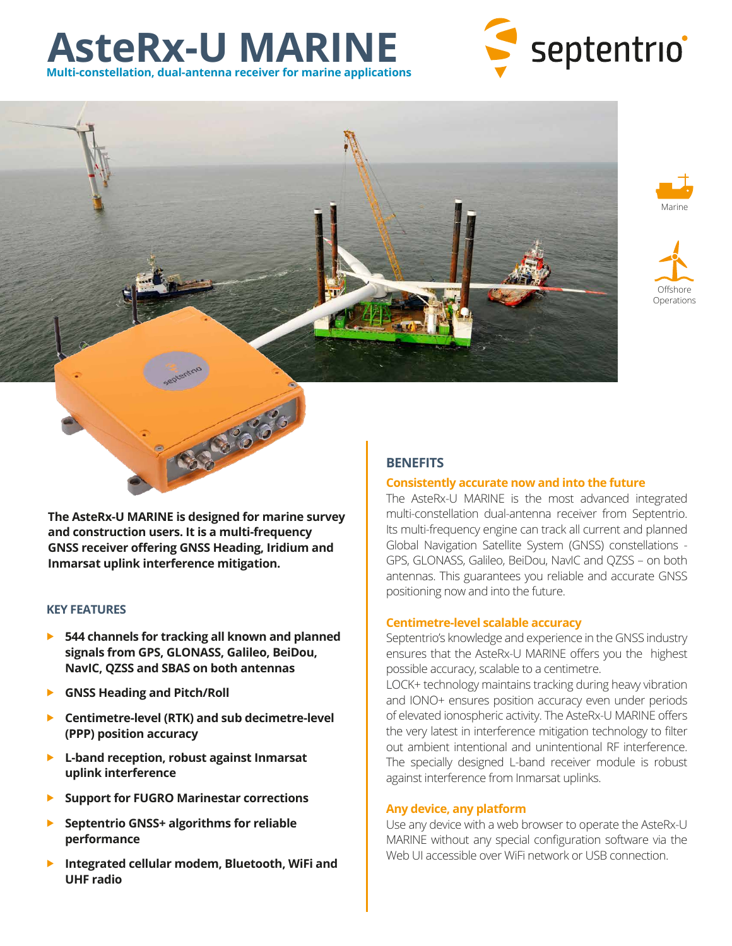# **AsteRx-U MARINE Multi-constellation, dual-antenna receiver for marine applications**









**The AsteRx-U MARINE is designed for marine survey and construction users. It is a multi-frequency GNSS receiver offering GNSS Heading, Iridium and Inmarsat uplink interference mitigation.**

# **KEY FEATURES**

- **544 channels for tracking all known and planned signals from GPS, GLONASS, Galileo, BeiDou, NavIC, QZSS and SBAS on both antennas**
- **GNSS Heading and Pitch/Roll**
- **Centimetre-level (RTK) and sub decimetre-level (PPP) position accuracy**
- **L-band reception, robust against Inmarsat uplink interference**
- **Support for FUGRO Marinestar corrections**
- **Septentrio GNSS+ algorithms for reliable performance**
- **Integrated cellular modem, Bluetooth, WiFi and UHF radio**

# **Consistently accurate now and into the future**

The AsteRx-U MARINE is the most advanced integrated multi-constellation dual-antenna receiver from Septentrio. Its multi-frequency engine can track all current and planned Global Navigation Satellite System (GNSS) constellations - GPS, GLONASS, Galileo, BeiDou, NavIC and QZSS – on both antennas. This guarantees you reliable and accurate GNSS positioning now and into the future.

# **Centimetre-level scalable accuracy**

Septentrio's knowledge and experience in the GNSS industry ensures that the AsteRx-U MARINE offers you the highest possible accuracy, scalable to a centimetre.

LOCK+ technology maintains tracking during heavy vibration and IONO+ ensures position accuracy even under periods of elevated ionospheric activity. The AsteRx-U MARINE offers the very latest in interference mitigation technology to filter out ambient intentional and unintentional RF interference. The specially designed L-band receiver module is robust against interference from Inmarsat uplinks.

# **Any device, any platform**

Use any device with a web browser to operate the AsteRx-U MARINE without any special configuration software via the Web UI accessible over WiFi network or USB connection.